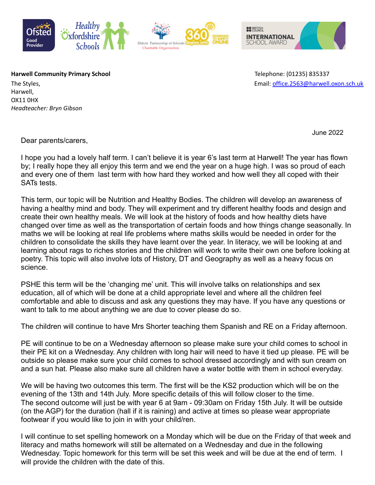



**Harwell Community Primary School Telephone: (01235) 835337** 

Harwell, OX11 0HX *Headteacher: Bryn Gibson*

The Styles, Email: [office.2563@harwell.oxon.sch.uk](mailto:office.2563@harwell.oxon.sch.uk)

June 2022

Dear parents/carers,

I hope you had a lovely half term. I can't believe it is year 6's last term at Harwell! The year has flown by; I really hope they all enjoy this term and we end the year on a huge high. I was so proud of each and every one of them last term with how hard they worked and how well they all coped with their SATs tests.

This term, our topic will be Nutrition and Healthy Bodies. The children will develop an awareness of having a healthy mind and body. They will experiment and try different healthy foods and design and create their own healthy meals. We will look at the history of foods and how healthy diets have changed over time as well as the transportation of certain foods and how things change seasonally. In maths we will be looking at real life problems where maths skills would be needed in order for the children to consolidate the skills they have learnt over the year. In literacy, we will be looking at and learning about rags to riches stories and the children will work to write their own one before looking at poetry. This topic will also involve lots of History, DT and Geography as well as a heavy focus on science.

PSHE this term will be the 'changing me' unit. This will involve talks on relationships and sex education, all of which will be done at a child appropriate level and where all the children feel comfortable and able to discuss and ask any questions they may have. If you have any questions or want to talk to me about anything we are due to cover please do so.

The children will continue to have Mrs Shorter teaching them Spanish and RE on a Friday afternoon.

PE will continue to be on a Wednesday afternoon so please make sure your child comes to school in their PE kit on a Wednesday. Any children with long hair will need to have it tied up please. PE will be outside so please make sure your child comes to school dressed accordingly and with sun cream on and a sun hat. Please also make sure all children have a water bottle with them in school everyday.

We will be having two outcomes this term. The first will be the KS2 production which will be on the evening of the 13th and 14th July. More specific details of this will follow closer to the time. The second outcome will just be with year 6 at 9am - 09:30am on Friday 15th July. It will be outside (on the AGP) for the duration (hall if it is raining) and active at times so please wear appropriate footwear if you would like to join in with your child/ren.

I will continue to set spelling homework on a Monday which will be due on the Friday of that week and literacy and maths homework will still be alternated on a Wednesday and due in the following Wednesday. Topic homework for this term will be set this week and will be due at the end of term. I will provide the children with the date of this.